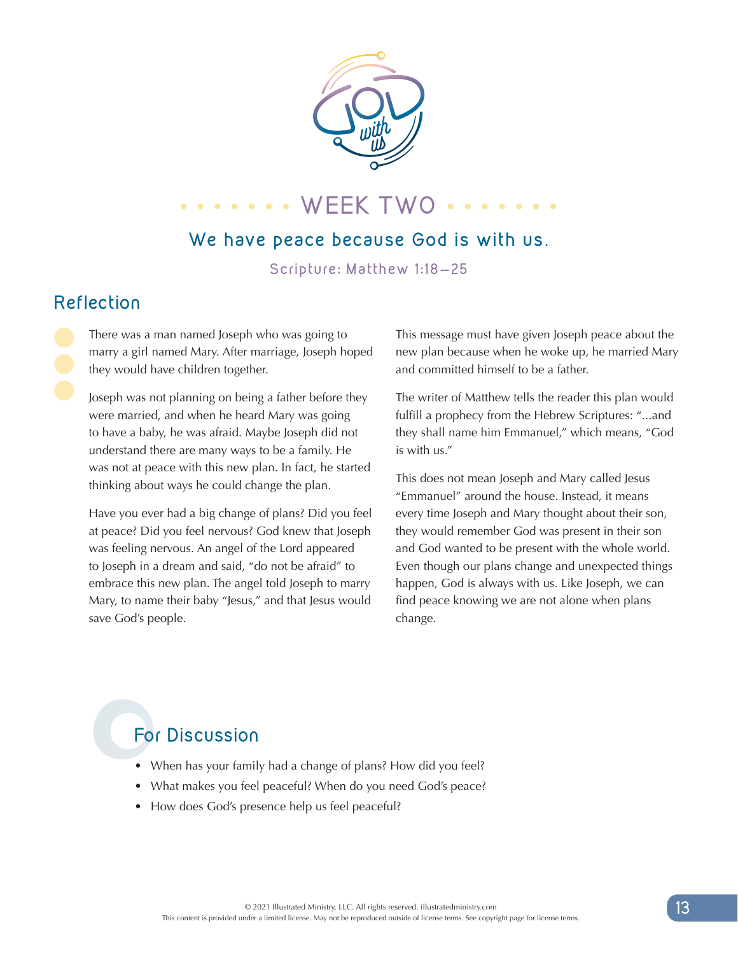

# **WEEK TWO** ...

#### **We have peace because God is with us**.

**Scripture: Matthew 1:18-25**

### **Reflection**

There was a man named Joseph who was going to marry a girl named Mary. After marriage, Joseph hoped they would have children together.

Joseph was not planning on being a father before they were married, and when he heard Mary was going to have a baby, he was afraid. Maybe Joseph did not understand there are many ways to be a family. He was not at peace with this new plan. In fact, he started thinking about ways he could change the plan.

Have you ever had a big change of plans? Did you feel at peace? Did you feel nervous? God knew that Joseph was feeling nervous. An angel of the Lord appeared to Joseph in a dream and said, "do not be afraid" to embrace this new plan. The angel told Joseph to marry Mary, to name their baby "Jesus," and that Jesus would save God's people.

This message must have given Joseph peace about the new plan because when he woke up, he married Mary and committed himself to be a father.

The writer of Matthew tells the reader this plan would fulfill a prophecy from the Hebrew Scriptures: "...and they shall name him Emmanuel," which means, "God is with us."

This does not mean Joseph and Mary called Jesus "Emmanuel" around the house. Instead, it means every time Joseph and Mary thought about their son, they would remember God was present in their son and God wanted to be present with the whole world. Even though our plans change and unexpected things happen, God is always with us. Like Joseph, we can find peace knowing we are not alone when plans change.

## **For Discussion**

- When has your family had a change of plans? How did you feel?
- What makes you feel peaceful? When do you need God's peace?
- How does God's presence help us feel peaceful?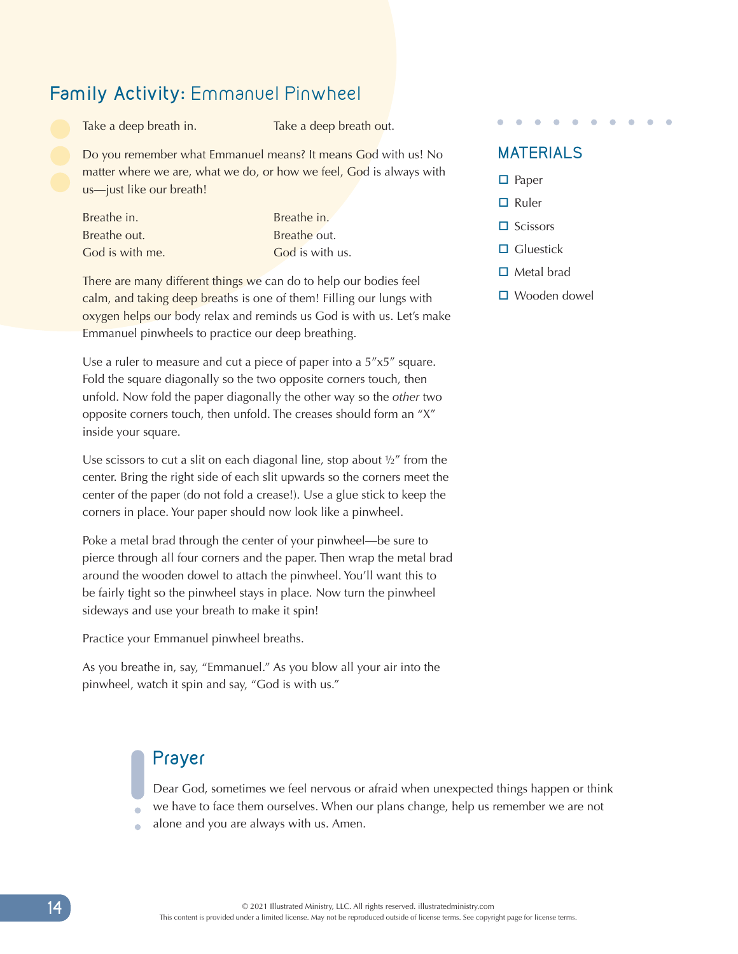#### **Family Activity:** Emmanuel Pinwheel

Take a deep breath in. Take a deep breath out.

Do you remember what Emmanuel means? It means God with us! No matter where we are, what we do, or how we feel, God is always with us—just like our breath!

| Breathe in.     |
|-----------------|
| Breathe out.    |
| God is with me. |

Breathe in. Breathe out. God is with us.

There are many different things we can do to help our bodies feel calm, and taking deep breaths is one of them! Filling our lungs with oxygen helps our body relax and reminds us God is with us. Let's make Emmanuel pinwheels to practice our deep breathing.

Use a ruler to measure and cut a piece of paper into a 5"x5" square. Fold the square diagonally so the two opposite corners touch, then unfold. Now fold the paper diagonally the other way so the *other* two opposite corners touch, then unfold. The creases should form an "X" inside your square.

Use scissors to cut a slit on each diagonal line, stop about  $\frac{1}{2}$  from the center. Bring the right side of each slit upwards so the corners meet the center of the paper (do not fold a crease!). Use a glue stick to keep the corners in place. Your paper should now look like a pinwheel.

Poke a metal brad through the center of your pinwheel—be sure to pierce through all four corners and the paper. Then wrap the metal brad around the wooden dowel to attach the pinwheel. You'll want this to be fairly tight so the pinwheel stays in place. Now turn the pinwheel sideways and use your breath to make it spin!

Practice your Emmanuel pinwheel breaths.

As you breathe in, say, "Emmanuel." As you blow all your air into the pinwheel, watch it spin and say, "God is with us."

### **Prayer**

Dear God, sometimes we feel nervous or afraid when unexpected things happen or think we have to face them ourselves. When our plans change, help us remember we are not

alone and you are always with us. Amen.

### **MATERIALS**

- $\square$  Paper
- $\square$  Ruler
- $\square$  Scissors
- $\Box$  Gluestick
- $\Box$  Metal brad
- $\square$  Wooden dowel